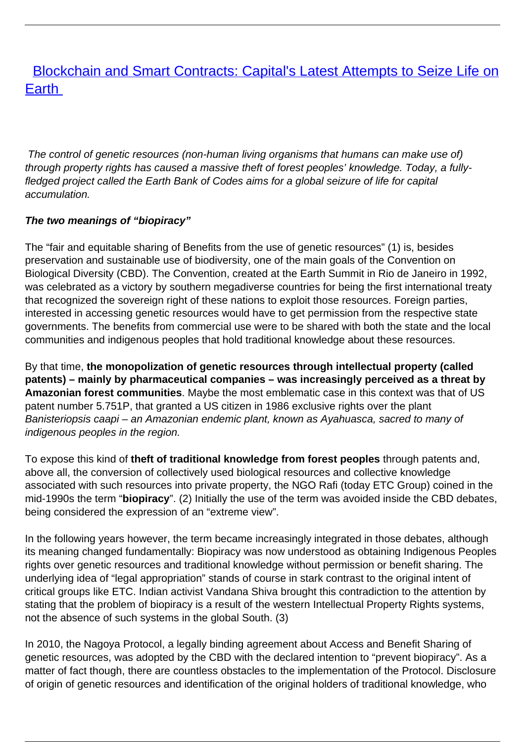# **[Blockchain and Smart Contracts: Capital's Latest Attempts to Seize Life on](/bulletin-articles/blockchain-and-smart-contracts-capitals-latest-attempts-to-seize-life-on-earth)** [Earth](/bulletin-articles/blockchain-and-smart-contracts-capitals-latest-attempts-to-seize-life-on-earth)

The control of genetic resources (non-human living organisms that humans can make use of) through property rights has caused a massive theft of forest peoples' knowledge. Today, a fullyfledged project called the Earth Bank of Codes aims for a global seizure of life for capital accumulation.

#### **The two meanings of "biopiracy"**

The "fair and equitable sharing of Benefits from the use of genetic resources" (1) is, besides preservation and sustainable use of biodiversity, one of the main goals of the Convention on Biological Diversity (CBD). The Convention, created at the Earth Summit in Rio de Janeiro in 1992, was celebrated as a victory by southern megadiverse countries for being the first international treaty that recognized the sovereign right of these nations to exploit those resources. Foreign parties, interested in accessing genetic resources would have to get permission from the respective state governments. The benefits from commercial use were to be shared with both the state and the local communities and indigenous peoples that hold traditional knowledge about these resources.

By that time, **the monopolization of genetic resources through intellectual property (called patents) – mainly by pharmaceutical companies – was increasingly perceived as a threat by Amazonian forest communities**. Maybe the most emblematic case in this context was that of US patent number 5.751P, that granted a US citizen in 1986 exclusive rights over the plant Banisteriopsis caapi – an Amazonian endemic plant, known as Ayahuasca, sacred to many of indigenous peoples in the region.

To expose this kind of **theft of traditional knowledge from forest peoples** through patents and, above all, the conversion of collectively used biological resources and collective knowledge associated with such resources into private property, the NGO Rafi (today ETC Group) coined in the mid-1990s the term "**biopiracy**". (2) Initially the use of the term was avoided inside the CBD debates, being considered the expression of an "extreme view".

In the following years however, the term became increasingly integrated in those debates, although its meaning changed fundamentally: Biopiracy was now understood as obtaining Indigenous Peoples rights over genetic resources and traditional knowledge without permission or benefit sharing. The underlying idea of "legal appropriation" stands of course in stark contrast to the original intent of critical groups like ETC. Indian activist Vandana Shiva brought this contradiction to the attention by stating that the problem of biopiracy is a result of the western Intellectual Property Rights systems, not the absence of such systems in the global South. (3)

In 2010, the Nagoya Protocol, a legally binding agreement about Access and Benefit Sharing of genetic resources, was adopted by the CBD with the declared intention to "prevent biopiracy". As a matter of fact though, there are countless obstacles to the implementation of the Protocol. Disclosure of origin of genetic resources and identification of the original holders of traditional knowledge, who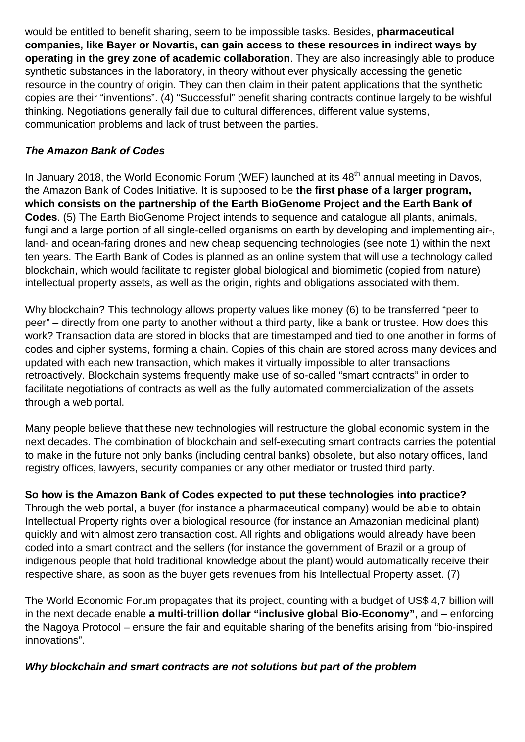would be entitled to benefit sharing, seem to be impossible tasks. Besides, **pharmaceutical companies, like Bayer or Novartis, can gain access to these resources in indirect ways by operating in the grey zone of academic collaboration**. They are also increasingly able to produce synthetic substances in the laboratory, in theory without ever physically accessing the genetic resource in the country of origin. They can then claim in their patent applications that the synthetic copies are their "inventions". (4) "Successful" benefit sharing contracts continue largely to be wishful thinking. Negotiations generally fail due to cultural differences, different value systems, communication problems and lack of trust between the parties.

### **The Amazon Bank of Codes**

In January 2018, the World Economic Forum (WEF) launched at its 48<sup>th</sup> annual meeting in Davos, the Amazon Bank of Codes Initiative. It is supposed to be **the first phase of a larger program, which consists on the partnership of the Earth BioGenome Project and the Earth Bank of Codes**. (5) The Earth BioGenome Project intends to sequence and catalogue all plants, animals, fungi and a large portion of all single-celled organisms on earth by developing and implementing air-, land- and ocean-faring drones and new cheap sequencing technologies (see note 1) within the next ten years. The Earth Bank of Codes is planned as an online system that will use a technology called blockchain, which would facilitate to register global biological and biomimetic (copied from nature) intellectual property assets, as well as the origin, rights and obligations associated with them.

Why blockchain? This technology allows property values like money (6) to be transferred "peer to peer" – directly from one party to another without a third party, like a bank or trustee. How does this work? Transaction data are stored in blocks that are timestamped and tied to one another in forms of codes and cipher systems, forming a chain. Copies of this chain are stored across many devices and updated with each new transaction, which makes it virtually impossible to alter transactions retroactively. Blockchain systems frequently make use of so-called "smart contracts" in order to facilitate negotiations of contracts as well as the fully automated commercialization of the assets through a web portal.

Many people believe that these new technologies will restructure the global economic system in the next decades. The combination of blockchain and self-executing smart contracts carries the potential to make in the future not only banks (including central banks) obsolete, but also notary offices, land registry offices, lawyers, security companies or any other mediator or trusted third party.

**So how is the Amazon Bank of Codes expected to put these technologies into practice?** Through the web portal, a buyer (for instance a pharmaceutical company) would be able to obtain Intellectual Property rights over a biological resource (for instance an Amazonian medicinal plant) quickly and with almost zero transaction cost. All rights and obligations would already have been coded into a smart contract and the sellers (for instance the government of Brazil or a group of indigenous people that hold traditional knowledge about the plant) would automatically receive their respective share, as soon as the buver gets revenues from his Intellectual Property asset. (7)

The World Economic Forum propagates that its project, counting with a budget of US\$ 4,7 billion will in the next decade enable **a multi-trillion dollar "inclusive global Bio-Economy"**, and – enforcing the Nagoya Protocol – ensure the fair and equitable sharing of the benefits arising from "bio-inspired innovations".

## **Why blockchain and smart contracts are not solutions but part of the problem**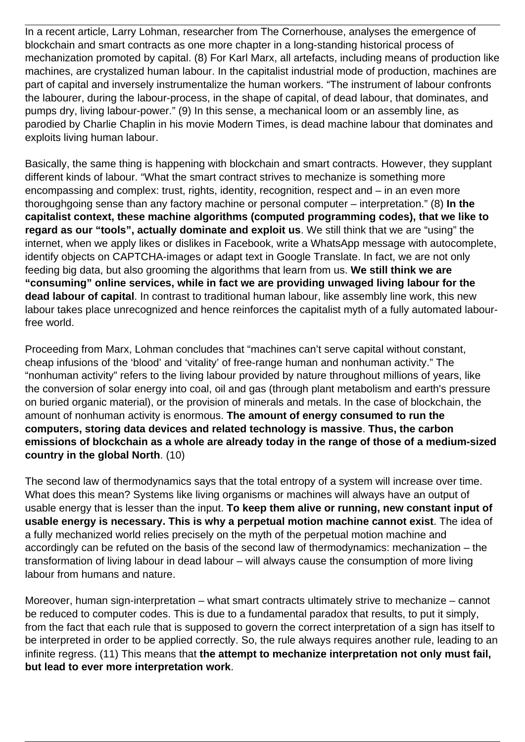In a recent article, Larry Lohman, researcher from The Cornerhouse, analyses the emergence of blockchain and smart contracts as one more chapter in a long-standing historical process of mechanization promoted by capital. (8) For Karl Marx, all artefacts, including means of production like machines, are crystalized human labour. In the capitalist industrial mode of production, machines are part of capital and inversely instrumentalize the human workers. "The instrument of labour confronts the labourer, during the labour-process, in the shape of capital, of dead labour, that dominates, and pumps dry, living labour-power." (9) In this sense, a mechanical loom or an assembly line, as parodied by Charlie Chaplin in his movie Modern Times, is dead machine labour that dominates and exploits living human labour.

Basically, the same thing is happening with blockchain and smart contracts. However, they supplant different kinds of labour. "What the smart contract strives to mechanize is something more encompassing and complex: trust, rights, identity, recognition, respect and – in an even more thoroughgoing sense than any factory machine or personal computer – interpretation." (8) **In the capitalist context, these machine algorithms (computed programming codes), that we like to regard as our "tools", actually dominate and exploit us**. We still think that we are "using" the internet, when we apply likes or dislikes in Facebook, write a WhatsApp message with autocomplete, identify objects on CAPTCHA-images or adapt text in Google Translate. In fact, we are not only feeding big data, but also grooming the algorithms that learn from us. **We still think we are "consuming" online services, while in fact we are providing unwaged living labour for the dead labour of capital**. In contrast to traditional human labour, like assembly line work, this new labour takes place unrecognized and hence reinforces the capitalist myth of a fully automated labourfree world.

Proceeding from Marx, Lohman concludes that "machines can't serve capital without constant, cheap infusions of the 'blood' and 'vitality' of free-range human and nonhuman activity." The "nonhuman activity" refers to the living labour provided by nature throughout millions of years, like the conversion of solar energy into coal, oil and gas (through plant metabolism and earth's pressure on buried organic material), or the provision of minerals and metals. In the case of blockchain, the amount of nonhuman activity is enormous. **The amount of energy consumed to run the computers, storing data devices and related technology is massive**. **Thus, the carbon emissions of blockchain as a whole are already today in the range of those of a medium-sized country in the global North**. (10)

The second law of thermodynamics says that the total entropy of a system will increase over time. What does this mean? Systems like living organisms or machines will always have an output of usable energy that is lesser than the input. **To keep them alive or running, new constant input of usable energy is necessary. This is why a perpetual motion machine cannot exist**. The idea of a fully mechanized world relies precisely on the myth of the perpetual motion machine and accordingly can be refuted on the basis of the second law of thermodynamics: mechanization – the transformation of living labour in dead labour – will always cause the consumption of more living labour from humans and nature.

Moreover, human sign-interpretation – what smart contracts ultimately strive to mechanize – cannot be reduced to computer codes. This is due to a fundamental paradox that results, to put it simply, from the fact that each rule that is supposed to govern the correct interpretation of a sign has itself to be interpreted in order to be applied correctly. So, the rule always requires another rule, leading to an infinite regress. (11) This means that **the attempt to mechanize interpretation not only must fail, but lead to ever more interpretation work**.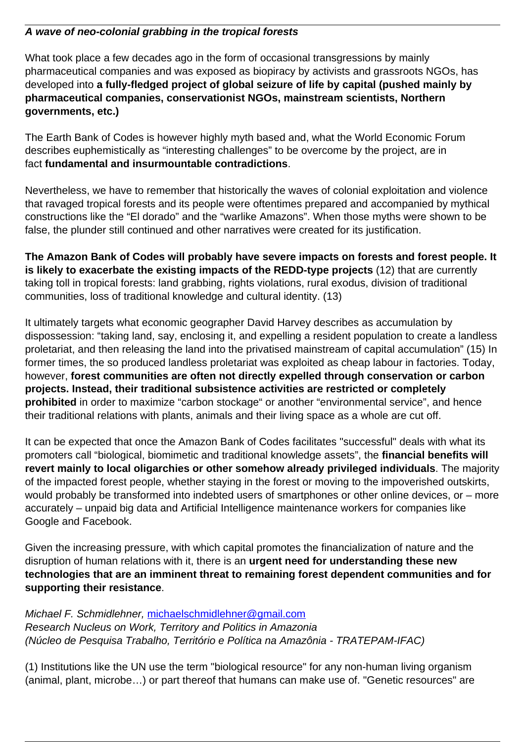#### **A wave of neo-colonial grabbing in the tropical forests**

What took place a few decades ago in the form of occasional transgressions by mainly pharmaceutical companies and was exposed as biopiracy by activists and grassroots NGOs, has developed into **a fully-fledged project of global seizure of life by capital (pushed mainly by pharmaceutical companies, conservationist NGOs, mainstream scientists, Northern governments, etc.)**

The Earth Bank of Codes is however highly myth based and, what the World Economic Forum describes euphemistically as "interesting challenges" to be overcome by the project, are in fact **fundamental and insurmountable contradictions**.

Nevertheless, we have to remember that historically the waves of colonial exploitation and violence that ravaged tropical forests and its people were oftentimes prepared and accompanied by mythical constructions like the "El dorado" and the "warlike Amazons". When those myths were shown to be false, the plunder still continued and other narratives were created for its justification.

**The Amazon Bank of Codes will probably have severe impacts on forests and forest people. It is likely to exacerbate the existing impacts of the REDD-type projects** (12) that are currently taking toll in tropical forests: land grabbing, rights violations, rural exodus, division of traditional communities, loss of traditional knowledge and cultural identity. (13)

It ultimately targets what economic geographer David Harvey describes as accumulation by dispossession: "taking land, say, enclosing it, and expelling a resident population to create a landless proletariat, and then releasing the land into the privatised mainstream of capital accumulation" (15) In former times, the so produced landless proletariat was exploited as cheap labour in factories. Today, however, **forest communities are often not directly expelled through conservation or carbon projects. Instead, their traditional subsistence activities are restricted or completely prohibited** in order to maximize "carbon stockage" or another "environmental service", and hence their traditional relations with plants, animals and their living space as a whole are cut off.

It can be expected that once the Amazon Bank of Codes facilitates "successful" deals with what its promoters call "biological, biomimetic and traditional knowledge assets", the **financial benefits will revert mainly to local oligarchies or other somehow already privileged individuals**. The majority of the impacted forest people, whether staying in the forest or moving to the impoverished outskirts, would probably be transformed into indebted users of smartphones or other online devices, or – more accurately – unpaid big data and Artificial Intelligence maintenance workers for companies like Google and Facebook.

Given the increasing pressure, with which capital promotes the financialization of nature and the disruption of human relations with it, there is an **urgent need for understanding these new technologies that are an imminent threat to remaining forest dependent communities and for supporting their resistance**.

Michael F. Schmidlehner, [michaelschmidlehner@gmail.com](mailto:michaelschmidlehner@gmail.com) Research Nucleus on Work, Territory and Politics in Amazonia (Núcleo de Pesquisa Trabalho, Território e Política na Amazônia - TRATEPAM-IFAC)

(1) Institutions like the UN use the term "biological resource" for any non-human living organism (animal, plant, microbe…) or part thereof that humans can make use of. "Genetic resources" are